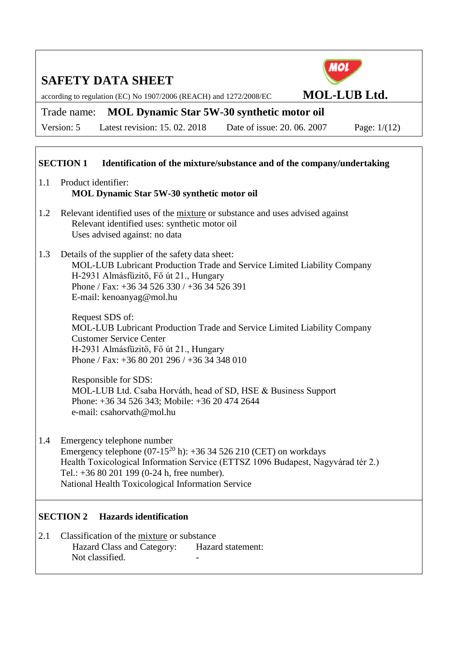according to regulation (EC) No 1907/2006 (REACH) and 1272/2008/EC **MOL-LUB Ltd.**

# Trade name: **MOL Dynamic Star 5W-30 synthetic motor oil**

Version: 5 Latest revision: 15. 02. 2018 Date of issue: 20. 06. 2007 Page: 1/(12)

### **SECTION 1 Identification of the mixture/substance and of the company/undertaking**

- 1.1 Product identifier: **MOL Dynamic Star 5W-30 synthetic motor oil**
- 1.2 Relevant identified uses of the mixture or substance and uses advised against Relevant identified uses: synthetic motor oil Uses advised against: no data
- 1.3 Details of the supplier of the safety data sheet: MOL-LUB Lubricant Production Trade and Service Limited Liability Company H-2931 Almásfüzitő, Fő út 21., Hungary Phone / Fax: +36 34 526 330 / +36 34 526 391 E-mail: kenoanyag@mol.hu

Request SDS of: MOL-LUB Lubricant Production Trade and Service Limited Liability Company Customer Service Center H-2931 Almásfüzitő, Fő út 21., Hungary Phone / Fax: +36 80 201 296 / +36 34 348 010

Responsible for SDS: MOL-LUB Ltd. Csaba Horváth, head of SD, HSE & Business Support Phone: +36 34 526 343; Mobile: +36 20 474 2644 e-mail: csahorvath@mol.hu

1.4 Emergency telephone number Emergency telephone  $(07-15^{20} h)$ : +36 34 526 210 (CET) on workdays Health Toxicological Information Service (ETTSZ 1096 Budapest, Nagyvárad tér 2.) Tel.: +36 80 201 199 (0-24 h, free number). National Health Toxicological Information Service

## **SECTION 2 Hazards identification**

2.1 Classification of the mixture or substance Hazard Class and Category: Hazard statement: Not classified.

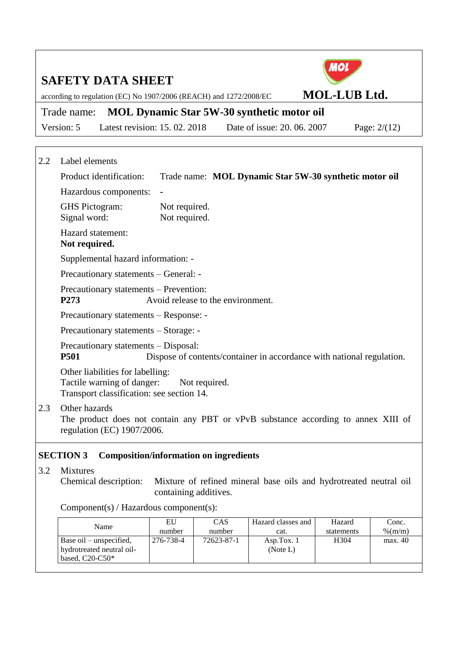according to regulation (EC) No 1907/2006 (REACH) and 1272/2008/EC **MOL-LUB Ltd.**

# Trade name: **MOL Dynamic Star 5W-30 synthetic motor oil**

Version: 5 Latest revision: 15. 02. 2018 Date of issue: 20. 06. 2007 Page: 2/(12)

| 2.2<br>Label elements |
|-----------------------|
|-----------------------|

Product identification: Trade name: **MOL Dynamic Star 5W-30 synthetic motor oil** Hazardous components: **-** GHS Pictogram: Not required. Signal word: Not required. Hazard statement: **Not required.** Supplemental hazard information: - Precautionary statements – General: - Precautionary statements – Prevention: **P273** Avoid release to the environment. Precautionary statements – Response: - Precautionary statements – Storage: - Precautionary statements – Disposal: **P501** Dispose of contents/container in accordance with national regulation. Other liabilities for labelling: Tactile warning of danger: Not required. Transport classification: see section 14. 2.3 Other hazards

The product does not contain any PBT or vPvB substance according to annex XIII of regulation (EC) 1907/2006.

## **SECTION 3 Composition/information on ingredients**

3.2 Mixtures

Chemical description: Mixture of refined mineral base oils and hydrotreated neutral oil containing additives.

Component(s) / Hazardous component(s):

| EU        | CAS        | Hazard classes and | Hazard           | Conc.     |
|-----------|------------|--------------------|------------------|-----------|
| number    | number     | cat.               | statements       | $%$ (m/m) |
| 276-738-4 | 72623-87-1 | Asp.Tox. $1$       | H <sub>304</sub> | max. 40   |
|           |            | (Note L)           |                  |           |
|           |            |                    |                  |           |
|           |            |                    |                  |           |

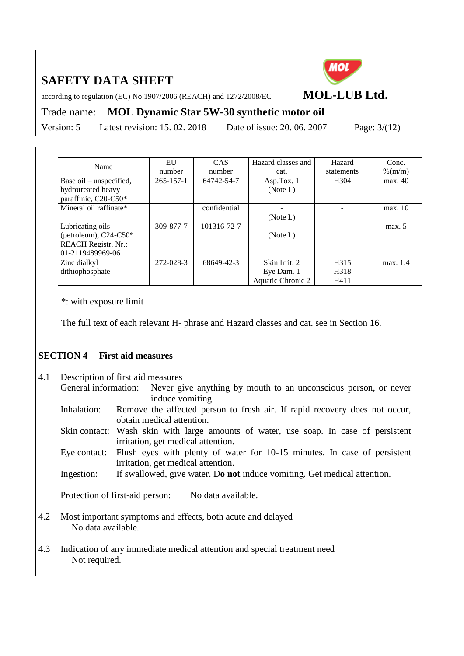

according to regulation (EC) No 1907/2006 (REACH) and 1272/2008/EC **MOL-LUB Ltd.**

## Trade name: **MOL Dynamic Star 5W-30 synthetic motor oil**

Version: 5 Latest revision: 15. 02. 2018 Date of issue: 20. 06. 2007 Page: 3/(12)

| Name                       | EU              | <b>CAS</b>   | Hazard classes and | Hazard           | Conc.      |
|----------------------------|-----------------|--------------|--------------------|------------------|------------|
|                            | number          | number       | cat.               | statements       | $\%$ (m/m) |
| Base oil – unspecified,    | $265 - 157 - 1$ | 64742-54-7   | Asp.Tox. $1$       | H <sub>304</sub> | max. 40    |
| hydrotreated heavy         |                 |              | (Note L)           |                  |            |
| paraffinic, C20-C50*       |                 |              |                    |                  |            |
| Mineral oil raffinate*     |                 | confidential |                    |                  | max. 10    |
|                            |                 |              | (Note L)           |                  |            |
| Lubricating oils           | 309-877-7       | 101316-72-7  |                    |                  | max. 5     |
| (petroleum), $C24-C50*$    |                 |              | (Note L)           |                  |            |
| <b>REACH Registr. Nr.:</b> |                 |              |                    |                  |            |
| 01-2119489969-06           |                 |              |                    |                  |            |
| Zinc dialkyl               | 272-028-3       | 68649-42-3   | Skin Irrit. 2      | H315             | max. 1.4   |
| dithiophosphate            |                 |              | Eye Dam. 1         | H318             |            |
|                            |                 |              | Aquatic Chronic 2  | H411             |            |

\*: with exposure limit

The full text of each relevant H- phrase and Hazard classes and cat. see in Section 16.

## **SECTION 4 First aid measures**

- 4.1 Description of first aid measures General information: Never give anything by mouth to an unconscious person, or never induce vomiting. Inhalation: Remove the affected person to fresh air. If rapid recovery does not occur, obtain medical attention. Skin contact: Wash skin with large amounts of water, use soap. In case of persistent irritation, get medical attention. Eye contact: Flush eyes with plenty of water for 10-15 minutes. In case of persistent irritation, get medical attention. Ingestion: If swallowed, give water. D**o not** induce vomiting. Get medical attention. Protection of first-aid person: No data available. 4.2 Most important symptoms and effects, both acute and delayed No data available.
- 4.3 Indication of any immediate medical attention and special treatment need Not required.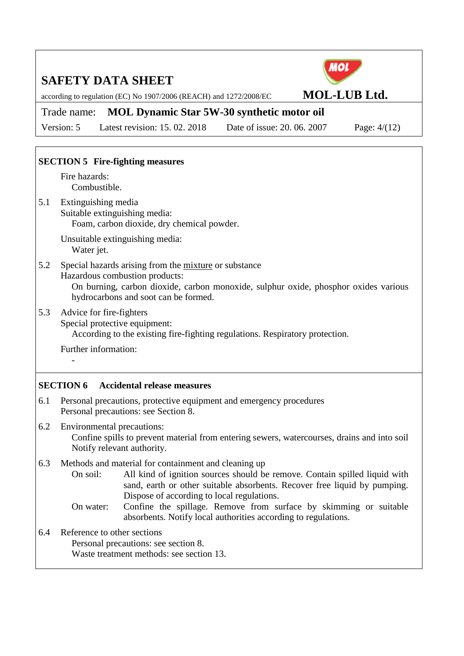according to regulation (EC) No 1907/2006 (REACH) and 1272/2008/EC **MOL-LUB Ltd.**

# Trade name: **MOL Dynamic Star 5W-30 synthetic motor oil**

Version: 5 Latest revision: 15. 02. 2018 Date of issue: 20. 06. 2007 Page: 4/(12)

MOL

## **SECTION 5 Fire-fighting measures**

Fire hazards: Combustible.

5.1 Extinguishing media Suitable extinguishing media: Foam, carbon dioxide, dry chemical powder.

> Unsuitable extinguishing media: Water jet.

5.2 Special hazards arising from the mixture or substance Hazardous combustion products: On burning, carbon dioxide, carbon monoxide, sulphur oxide, phosphor oxides various hydrocarbons and soot can be formed.

5.3 Advice for fire-fighters Special protective equipment:

According to the existing fire-fighting regulations. Respiratory protection.

Further information:

-

## **SECTION 6 Accidental release measures**

- 6.1 Personal precautions, protective equipment and emergency procedures Personal precautions: see Section 8.
- 6.2 Environmental precautions: Confine spills to prevent material from entering sewers, watercourses, drains and into soil Notify relevant authority.
- 6.3 Methods and material for containment and cleaning up
	- On soil: All kind of ignition sources should be remove. Contain spilled liquid with sand, earth or other suitable absorbents. Recover free liquid by pumping. Dispose of according to local regulations.
	- On water: Confine the spillage. Remove from surface by skimming or suitable absorbents. Notify local authorities according to regulations.
- 6.4 Reference to other sections
	- Personal precautions: see section 8.

Waste treatment methods: see section 13.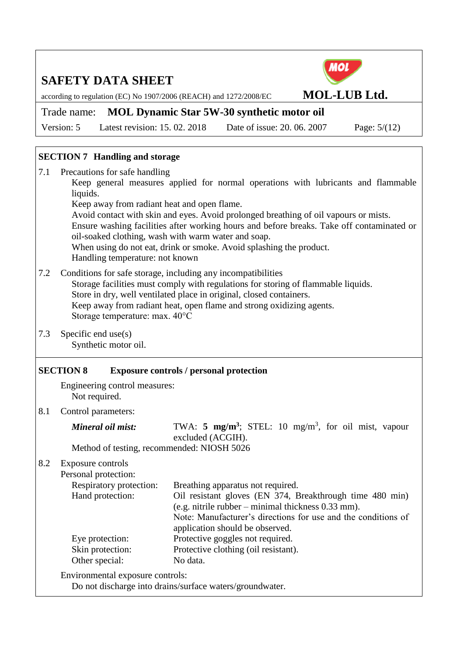according to regulation (EC) No 1907/2006 (REACH) and 1272/2008/EC **MOL-LUB Ltd.**



Version: 5 Latest revision: 15. 02. 2018 Date of issue: 20. 06. 2007 Page: 5/(12)

## **SECTION 7 Handling and storage**

7.1 Precautions for safe handling Keep general measures applied for normal operations with lubricants and flammable liquids. Keep away from radiant heat and open flame. Avoid contact with skin and eyes. Avoid prolonged breathing of oil vapours or mists. Ensure washing facilities after working hours and before breaks. Take off contaminated or oil-soaked clothing, wash with warm water and soap. When using do not eat, drink or smoke. Avoid splashing the product. Handling temperature: not known 7.2 Conditions for safe storage, including any incompatibilities

MOL

- Storage facilities must comply with regulations for storing of flammable liquids. Store in dry, well ventilated place in original, closed containers. Keep away from radiant heat, open flame and strong oxidizing agents. Storage temperature: max. 40°C
- 7.3 Specific end use(s) Synthetic motor oil.

## **SECTION 8 Exposure controls / personal protection**

Engineering control measures: Not required.

8.1 Control parameters:

*Mineral oil mist:* TWA: 5 mg/m<sup>3</sup>; STEL: 10 mg/m<sup>3</sup>, for oil mist, vapour excluded (ACGIH).

Method of testing, recommended: NIOSH 5026

8.2 Exposure controls Personal protection:

| I CISOIIAI DIOICUIUII.  |                                                               |
|-------------------------|---------------------------------------------------------------|
| Respiratory protection: | Breathing apparatus not required.                             |
| Hand protection:        | Oil resistant gloves (EN 374, Breakthrough time 480 min)      |
|                         | $(e.g. nitrile rubber - minimal thickness 0.33 mm).$          |
|                         | Note: Manufacturer's directions for use and the conditions of |
|                         | application should be observed.                               |
| Eye protection:         | Protective goggles not required.                              |
| Skin protection:        | Protective clothing (oil resistant).                          |
| Other special:          | No data.                                                      |
|                         |                                                               |

Environmental exposure controls:

Do not discharge into drains/surface waters/groundwater.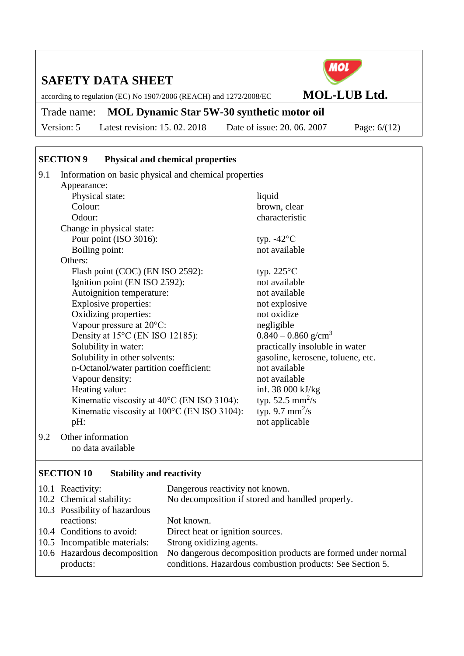according to regulation (EC) No 1907/2006 (REACH) and 1272/2008/EC **MOL-LUB Ltd.**

## Trade name: **MOL Dynamic Star 5W-30 synthetic motor oil**

Version: 5 Latest revision: 15. 02. 2018 Date of issue: 20. 06. 2007 Page: 6/(12)

#### **SECTION 9 Physical and chemical properties**

9.1 Information on basic physical and chemical properties Appearance: Physical state: liquid Colour: brown, clear Odour: characteristic Change in physical state: Pour point (ISO 3016): typ. -42°C Boiling point: not available Others: Flash point (COC) (EN ISO 2592): typ.  $225^{\circ}$ C Ignition point (EN ISO 2592): not available Autoignition temperature: not available Explosive properties: not explosive Oxidizing properties: not oxidize Vapour pressure at 20<sup>o</sup>C: negligible Density at 15<sup>o</sup>C (EN ISO 12185): 0.840 – 0.860 g/cm<sup>3</sup> Solubility in water: practically insoluble in water Solubility in other solvents: gasoline, kerosene, toluene, etc. n-Octanol/water partition coefficient: not available Vapour density: not available Heating value: inf. 38 000 kJ/kg Kinematic viscosity at  $40^{\circ}$ C (EN ISO 3104): typ.  $52.5 \text{ mm}^2/\text{s}$ Kinematic viscosity at  $100^{\circ}$ C (EN ISO 3104): typ. 9.7  $mm^2/s$ pH: not applicable 9.2 Other information

no data available

#### **SECTION 10 Stability and reactivity**

| 10.1 Reactivity:              | Dangerous reactivity not known.                             |
|-------------------------------|-------------------------------------------------------------|
| 10.2 Chemical stability:      | No decomposition if stored and handled properly.            |
| 10.3 Possibility of hazardous |                                                             |
| reactions:                    | Not known.                                                  |
| 10.4 Conditions to avoid:     | Direct heat or ignition sources.                            |
| 10.5 Incompatible materials:  | Strong oxidizing agents.                                    |
| 10.6 Hazardous decomposition  | No dangerous decomposition products are formed under normal |
| products:                     | conditions. Hazardous combustion products: See Section 5.   |

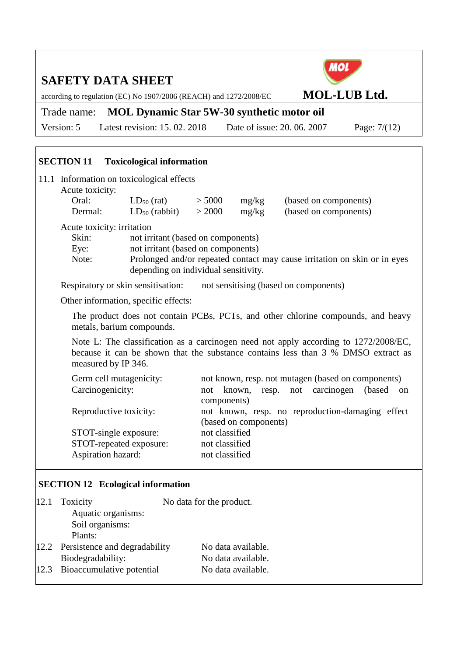according to regulation (EC) No 1907/2006 (REACH) and 1272/2008/EC **MOL-LUB Ltd.**

# Trade name: **MOL Dynamic Star 5W-30 synthetic motor oil**

Version: 5 Latest revision: 15. 02. 2018 Date of issue: 20. 06. 2007 Page: 7/(12)

| 11.1 Information on toxicological effects<br>Acute toxicity: |                                      |        |       |                                                                           |
|--------------------------------------------------------------|--------------------------------------|--------|-------|---------------------------------------------------------------------------|
| Oral:                                                        | $LD_{50}$ (rat)                      | > 5000 | mg/kg | (based on components)                                                     |
| Dermal:                                                      | $LD_{50}$ (rabbit)                   | > 2000 | mg/kg | (based on components)                                                     |
| Acute toxicity: irritation                                   |                                      |        |       |                                                                           |
| Skin:                                                        | not irritant (based on components)   |        |       |                                                                           |
| Eye:                                                         | not irritant (based on components)   |        |       |                                                                           |
| Note:                                                        | depending on individual sensitivity. |        |       | Prolonged and/or repeated contact may cause irritation on skin or in eyes |

Respiratory or skin sensitisation: not sensitising (based on components)

Other information, specific effects:

**SECTION 11 Toxicological information**

The product does not contain PCBs, PCTs, and other chlorine compounds, and heavy metals, barium compounds.

Note L: The classification as a carcinogen need not apply according to 1272/2008/EC, because it can be shown that the substance contains less than 3 % DMSO extract as measured by IP 346.

| Germ cell mutagenicity: | not known, resp. not mutagen (based on components)           |
|-------------------------|--------------------------------------------------------------|
| Carcinogenicity:        | resp. not carcinogen<br>known,<br>(based)<br>not<br>$\alpha$ |
|                         | components)                                                  |
| Reproductive toxicity:  | not known, resp. no reproduction-damaging effect             |
|                         | (based on components)                                        |
| STOT-single exposure:   | not classified                                               |
| STOT-repeated exposure: | not classified                                               |
| Aspiration hazard:      | not classified                                               |
|                         |                                                              |

#### **SECTION 12 Ecological information**

| 12.1 Toxicity                      | No data for the product. |
|------------------------------------|--------------------------|
| Aquatic organisms:                 |                          |
| Soil organisms:                    |                          |
| Plants:                            |                          |
| 12.2 Persistence and degradability | No data available.       |
| Biodegradability:                  | No data available.       |
| 12.3 Bioaccumulative potential     | No data available.       |
|                                    |                          |

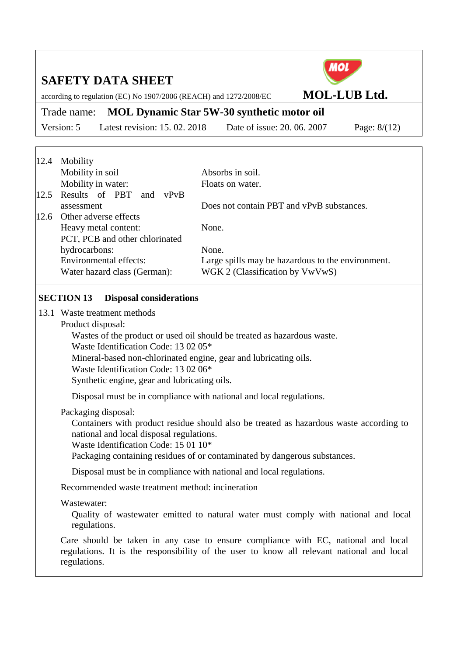according to regulation (EC) No 1907/2006 (REACH) and 1272/2008/EC **MOL-LUB Ltd.**

# Trade name: **MOL Dynamic Star 5W-30 synthetic motor oil**

Version: 5 Latest revision: 15. 02. 2018 Date of issue: 20. 06. 2007 Page: 8/(12)

| 12.4 | Mobility                           |                                                   |
|------|------------------------------------|---------------------------------------------------|
|      | Mobility in soil                   | Absorbs in soil.                                  |
|      | Mobility in water:                 | Floats on water.                                  |
|      | 12.5 Results of PBT<br>vPvB<br>and |                                                   |
|      | assessment                         | Does not contain PBT and vPvB substances.         |
| 12.6 | Other adverse effects              |                                                   |
|      | Heavy metal content:               | None.                                             |
|      | PCT, PCB and other chlorinated     |                                                   |
|      | hydrocarbons:                      | None.                                             |
|      | Environmental effects:             | Large spills may be hazardous to the environment. |
|      | Water hazard class (German):       | WGK 2 (Classification by VwVwS)                   |

### **SECTION 13 Disposal considerations**

13.1 Waste treatment methods

Product disposal:

Wastes of the product or used oil should be treated as hazardous waste.

Waste Identification Code: 13 02 05\*

Mineral-based non-chlorinated engine, gear and lubricating oils.

Waste Identification Code: 13 02 06\*

Synthetic engine, gear and lubricating oils.

Disposal must be in compliance with national and local regulations.

#### Packaging disposal:

Containers with product residue should also be treated as hazardous waste according to national and local disposal regulations.

Waste Identification Code: 15 01 10\*

Packaging containing residues of or contaminated by dangerous substances.

Disposal must be in compliance with national and local regulations.

Recommended waste treatment method: incineration

## Wastewater:

Quality of wastewater emitted to natural water must comply with national and local regulations.

Care should be taken in any case to ensure compliance with EC, national and local regulations. It is the responsibility of the user to know all relevant national and local regulations.

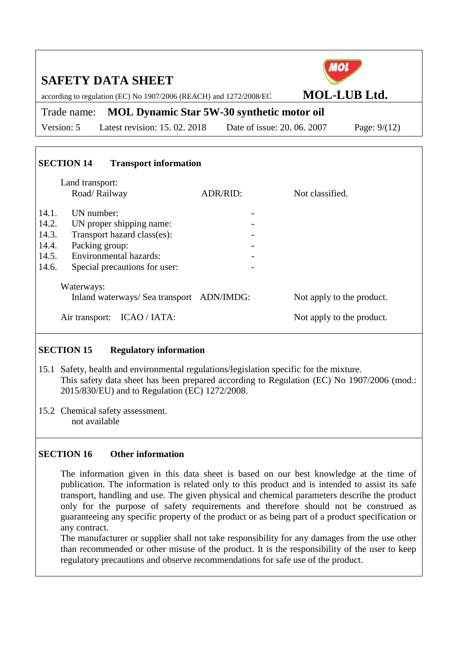| <b>SAFETY DATA SHEET</b><br>according to regulation (EC) No 1907/2006 (REACH) and 1272/2008/EC                                                                                                           |                                                   |                 | <b>MOL-LUB Ltd.</b>                                    |
|----------------------------------------------------------------------------------------------------------------------------------------------------------------------------------------------------------|---------------------------------------------------|-----------------|--------------------------------------------------------|
| Trade name:                                                                                                                                                                                              | <b>MOL Dynamic Star 5W-30 synthetic motor oil</b> |                 |                                                        |
| Latest revision: 15, 02, 2018<br>Version: 5                                                                                                                                                              | Date of issue: 20, 06, 2007                       |                 | Page: $9/(12)$                                         |
| <b>SECTION 14</b><br><b>Transport information</b><br>Land transport:<br>Road/Railway                                                                                                                     | ADR/RID:                                          | Not classified. |                                                        |
| 14.1.<br>UN number:<br>14.2.<br>UN proper shipping name:<br>Transport hazard class(es):<br>14.3.<br>14.4.<br>Packing group:<br>Environmental hazards:<br>14.5.<br>14.6.<br>Special precautions for user: |                                                   |                 |                                                        |
| Waterways:<br>Inland waterways/ Sea transport ADN/IMDG:<br>Air transport: ICAO / IATA:                                                                                                                   |                                                   |                 | Not apply to the product.<br>Not apply to the product. |

## **SECTION 15 Regulatory information**

- 15.1 Safety, health and environmental regulations/legislation specific for the mixture. This safety data sheet has been prepared according to Regulation (EC) No 1907/2006 (mod.: 2015/830/EU) and to Regulation (EC) 1272/2008.
- 15.2 Chemical safety assessment. not available

## **SECTION 16 Other information**

The information given in this data sheet is based on our best knowledge at the time of publication. The information is related only to this product and is intended to assist its safe transport, handling and use. The given physical and chemical parameters describe the product only for the purpose of safety requirements and therefore should not be construed as guaranteeing any specific property of the product or as being part of a product specification or any contract.

The manufacturer or supplier shall not take responsibility for any damages from the use other than recommended or other misuse of the product. It is the responsibility of the user to keep regulatory precautions and observe recommendations for safe use of the product.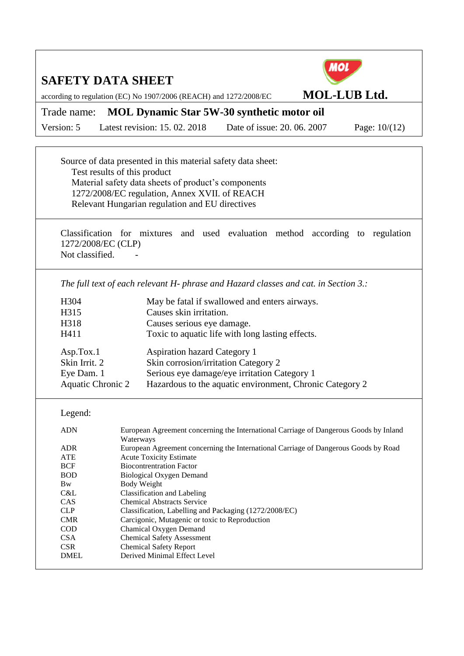**MOL** 

according to regulation (EC) No 1907/2006 (REACH) and 1272/2008/EC **MOL-LUB Ltd.**

## Trade name: **MOL Dynamic Star 5W-30 synthetic motor oil**

Version: 5 Latest revision: 15. 02. 2018 Date of issue: 20. 06. 2007 Page: 10/(12)

Source of data presented in this material safety data sheet: Test results of this product Material safety data sheets of product's components 1272/2008/EC regulation, Annex XVII. of REACH Relevant Hungarian regulation and EU directives

Classification for mixtures and used evaluation method according to regulation 1272/2008/EC (CLP) Not classified.

*The full text of each relevant H- phrase and Hazard classes and cat. in Section 3.:*

| H304                     | May be fatal if swallowed and enters airways.            |
|--------------------------|----------------------------------------------------------|
| H315                     | Causes skin irritation.                                  |
| H318                     | Causes serious eye damage.                               |
| H411                     | Toxic to aquatic life with long lasting effects.         |
|                          |                                                          |
| Asp.Tox.1                | <b>Aspiration hazard Category 1</b>                      |
| Skin Irrit. 2            | Skin corrosion/irritation Category 2                     |
| Eye Dam. 1               | Serious eye damage/eye irritation Category 1             |
| <b>Aquatic Chronic 2</b> | Hazardous to the aquatic environment, Chronic Category 2 |
|                          |                                                          |

#### Legend:

| <b>ADN</b> | European Agreement concerning the International Carriage of Dangerous Goods by Inland |
|------------|---------------------------------------------------------------------------------------|
|            | Waterways                                                                             |
| <b>ADR</b> | European Agreement concerning the International Carriage of Dangerous Goods by Road   |
| <b>ATE</b> | <b>Acute Toxicity Estimate</b>                                                        |
| <b>BCF</b> | <b>Biocontrentration Factor</b>                                                       |
| <b>BOD</b> | Biological Oxygen Demand                                                              |
| <b>Bw</b>  | Body Weight                                                                           |
| C&L        | Classification and Labeling                                                           |
| CAS        | <b>Chemical Abstracts Service</b>                                                     |
| CLP        | Classification, Labelling and Packaging (1272/2008/EC)                                |
| CMR        | Carcigonic, Mutagenic or toxic to Reproduction                                        |
| COD        | Chamical Oxygen Demand                                                                |
| <b>CSA</b> | <b>Chemical Safety Assessment</b>                                                     |
| <b>CSR</b> | <b>Chemical Safety Report</b>                                                         |
| DMEL.      | Derived Minimal Effect Level                                                          |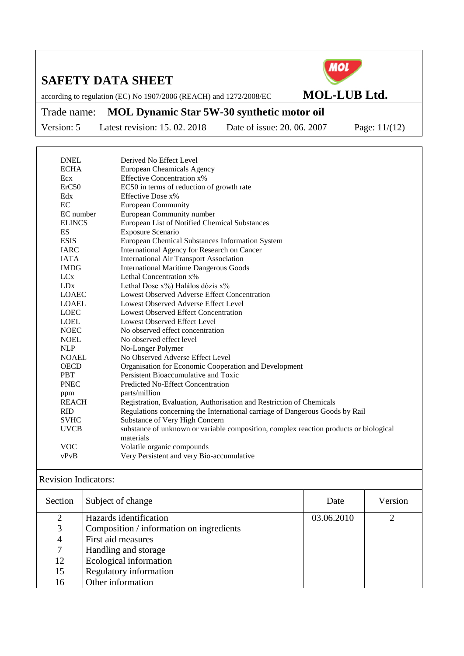

according to regulation (EC) No 1907/2006 (REACH) and 1272/2008/EC **MOL-LUB Ltd.**

# Trade name: **MOL Dynamic Star 5W-30 synthetic motor oil**

Version: 5 Latest revision: 15. 02. 2018 Date of issue: 20. 06. 2007 Page: 11/(12)

| <b>ECHA</b><br><b>European Cheamicals Agency</b><br><b>Effective Concentration x%</b><br>Ecx<br>ErC50<br>EC50 in terms of reduction of growth rate<br>Edx<br>Effective Dose x%<br>EC<br><b>European Community</b><br>EC number<br>European Community number<br><b>ELINCS</b><br>European List of Notified Chemical Substances<br>ES<br><b>Exposure Scenario</b><br><b>ESIS</b><br>European Chemical Substances Information System<br><b>IARC</b><br>International Agency for Research on Cancer<br><b>IATA</b><br><b>International Air Transport Association</b><br><b>IMDG</b><br><b>International Maritime Dangerous Goods</b><br>LCx<br>Lethal Concentration x%<br><b>LD</b> <sub>x</sub><br>Lethal Dose x%) Halálos dózis x%<br><b>LOAEC</b><br>Lowest Observed Adverse Effect Concentration<br><b>LOAEL</b><br>Lowest Observed Adverse Effect Level<br><b>LOEC</b><br><b>Lowest Observed Effect Concentration</b><br><b>LOEL</b><br>Lowest Observed Effect Level<br><b>NOEC</b><br>No observed effect concentration<br><b>NOEL</b><br>No observed effect level<br><b>NLP</b><br>No-Longer Polymer<br>No Observed Adverse Effect Level<br><b>NOAEL</b><br><b>OECD</b><br>Organisation for Economic Cooperation and Development<br>Persistent Bioaccumulative and Toxic<br><b>PBT</b><br><b>PNEC</b><br><b>Predicted No-Effect Concentration</b><br>parts/million<br>ppm<br><b>REACH</b><br>Registration, Evaluation, Authorisation and Restriction of Chemicals<br>Regulations concerning the International carriage of Dangerous Goods by Rail<br><b>RID</b><br><b>SVHC</b><br>Substance of Very High Concern<br><b>UVCB</b><br>substance of unknown or variable composition, complex reaction products or biological<br>materials<br><b>VOC</b><br>Volatile organic compounds<br>Very Persistent and very Bio-accumulative<br>vPvB | <b>DNEL</b> | Derived No Effect Level |
|------------------------------------------------------------------------------------------------------------------------------------------------------------------------------------------------------------------------------------------------------------------------------------------------------------------------------------------------------------------------------------------------------------------------------------------------------------------------------------------------------------------------------------------------------------------------------------------------------------------------------------------------------------------------------------------------------------------------------------------------------------------------------------------------------------------------------------------------------------------------------------------------------------------------------------------------------------------------------------------------------------------------------------------------------------------------------------------------------------------------------------------------------------------------------------------------------------------------------------------------------------------------------------------------------------------------------------------------------------------------------------------------------------------------------------------------------------------------------------------------------------------------------------------------------------------------------------------------------------------------------------------------------------------------------------------------------------------------------------------------------------------------------------------------------------------------------------------|-------------|-------------------------|
|                                                                                                                                                                                                                                                                                                                                                                                                                                                                                                                                                                                                                                                                                                                                                                                                                                                                                                                                                                                                                                                                                                                                                                                                                                                                                                                                                                                                                                                                                                                                                                                                                                                                                                                                                                                                                                          |             |                         |
|                                                                                                                                                                                                                                                                                                                                                                                                                                                                                                                                                                                                                                                                                                                                                                                                                                                                                                                                                                                                                                                                                                                                                                                                                                                                                                                                                                                                                                                                                                                                                                                                                                                                                                                                                                                                                                          |             |                         |
|                                                                                                                                                                                                                                                                                                                                                                                                                                                                                                                                                                                                                                                                                                                                                                                                                                                                                                                                                                                                                                                                                                                                                                                                                                                                                                                                                                                                                                                                                                                                                                                                                                                                                                                                                                                                                                          |             |                         |
|                                                                                                                                                                                                                                                                                                                                                                                                                                                                                                                                                                                                                                                                                                                                                                                                                                                                                                                                                                                                                                                                                                                                                                                                                                                                                                                                                                                                                                                                                                                                                                                                                                                                                                                                                                                                                                          |             |                         |
|                                                                                                                                                                                                                                                                                                                                                                                                                                                                                                                                                                                                                                                                                                                                                                                                                                                                                                                                                                                                                                                                                                                                                                                                                                                                                                                                                                                                                                                                                                                                                                                                                                                                                                                                                                                                                                          |             |                         |
|                                                                                                                                                                                                                                                                                                                                                                                                                                                                                                                                                                                                                                                                                                                                                                                                                                                                                                                                                                                                                                                                                                                                                                                                                                                                                                                                                                                                                                                                                                                                                                                                                                                                                                                                                                                                                                          |             |                         |
|                                                                                                                                                                                                                                                                                                                                                                                                                                                                                                                                                                                                                                                                                                                                                                                                                                                                                                                                                                                                                                                                                                                                                                                                                                                                                                                                                                                                                                                                                                                                                                                                                                                                                                                                                                                                                                          |             |                         |
|                                                                                                                                                                                                                                                                                                                                                                                                                                                                                                                                                                                                                                                                                                                                                                                                                                                                                                                                                                                                                                                                                                                                                                                                                                                                                                                                                                                                                                                                                                                                                                                                                                                                                                                                                                                                                                          |             |                         |
|                                                                                                                                                                                                                                                                                                                                                                                                                                                                                                                                                                                                                                                                                                                                                                                                                                                                                                                                                                                                                                                                                                                                                                                                                                                                                                                                                                                                                                                                                                                                                                                                                                                                                                                                                                                                                                          |             |                         |
|                                                                                                                                                                                                                                                                                                                                                                                                                                                                                                                                                                                                                                                                                                                                                                                                                                                                                                                                                                                                                                                                                                                                                                                                                                                                                                                                                                                                                                                                                                                                                                                                                                                                                                                                                                                                                                          |             |                         |
|                                                                                                                                                                                                                                                                                                                                                                                                                                                                                                                                                                                                                                                                                                                                                                                                                                                                                                                                                                                                                                                                                                                                                                                                                                                                                                                                                                                                                                                                                                                                                                                                                                                                                                                                                                                                                                          |             |                         |
|                                                                                                                                                                                                                                                                                                                                                                                                                                                                                                                                                                                                                                                                                                                                                                                                                                                                                                                                                                                                                                                                                                                                                                                                                                                                                                                                                                                                                                                                                                                                                                                                                                                                                                                                                                                                                                          |             |                         |
|                                                                                                                                                                                                                                                                                                                                                                                                                                                                                                                                                                                                                                                                                                                                                                                                                                                                                                                                                                                                                                                                                                                                                                                                                                                                                                                                                                                                                                                                                                                                                                                                                                                                                                                                                                                                                                          |             |                         |
|                                                                                                                                                                                                                                                                                                                                                                                                                                                                                                                                                                                                                                                                                                                                                                                                                                                                                                                                                                                                                                                                                                                                                                                                                                                                                                                                                                                                                                                                                                                                                                                                                                                                                                                                                                                                                                          |             |                         |
|                                                                                                                                                                                                                                                                                                                                                                                                                                                                                                                                                                                                                                                                                                                                                                                                                                                                                                                                                                                                                                                                                                                                                                                                                                                                                                                                                                                                                                                                                                                                                                                                                                                                                                                                                                                                                                          |             |                         |
|                                                                                                                                                                                                                                                                                                                                                                                                                                                                                                                                                                                                                                                                                                                                                                                                                                                                                                                                                                                                                                                                                                                                                                                                                                                                                                                                                                                                                                                                                                                                                                                                                                                                                                                                                                                                                                          |             |                         |
|                                                                                                                                                                                                                                                                                                                                                                                                                                                                                                                                                                                                                                                                                                                                                                                                                                                                                                                                                                                                                                                                                                                                                                                                                                                                                                                                                                                                                                                                                                                                                                                                                                                                                                                                                                                                                                          |             |                         |
|                                                                                                                                                                                                                                                                                                                                                                                                                                                                                                                                                                                                                                                                                                                                                                                                                                                                                                                                                                                                                                                                                                                                                                                                                                                                                                                                                                                                                                                                                                                                                                                                                                                                                                                                                                                                                                          |             |                         |
|                                                                                                                                                                                                                                                                                                                                                                                                                                                                                                                                                                                                                                                                                                                                                                                                                                                                                                                                                                                                                                                                                                                                                                                                                                                                                                                                                                                                                                                                                                                                                                                                                                                                                                                                                                                                                                          |             |                         |
|                                                                                                                                                                                                                                                                                                                                                                                                                                                                                                                                                                                                                                                                                                                                                                                                                                                                                                                                                                                                                                                                                                                                                                                                                                                                                                                                                                                                                                                                                                                                                                                                                                                                                                                                                                                                                                          |             |                         |
|                                                                                                                                                                                                                                                                                                                                                                                                                                                                                                                                                                                                                                                                                                                                                                                                                                                                                                                                                                                                                                                                                                                                                                                                                                                                                                                                                                                                                                                                                                                                                                                                                                                                                                                                                                                                                                          |             |                         |
|                                                                                                                                                                                                                                                                                                                                                                                                                                                                                                                                                                                                                                                                                                                                                                                                                                                                                                                                                                                                                                                                                                                                                                                                                                                                                                                                                                                                                                                                                                                                                                                                                                                                                                                                                                                                                                          |             |                         |
|                                                                                                                                                                                                                                                                                                                                                                                                                                                                                                                                                                                                                                                                                                                                                                                                                                                                                                                                                                                                                                                                                                                                                                                                                                                                                                                                                                                                                                                                                                                                                                                                                                                                                                                                                                                                                                          |             |                         |
|                                                                                                                                                                                                                                                                                                                                                                                                                                                                                                                                                                                                                                                                                                                                                                                                                                                                                                                                                                                                                                                                                                                                                                                                                                                                                                                                                                                                                                                                                                                                                                                                                                                                                                                                                                                                                                          |             |                         |
|                                                                                                                                                                                                                                                                                                                                                                                                                                                                                                                                                                                                                                                                                                                                                                                                                                                                                                                                                                                                                                                                                                                                                                                                                                                                                                                                                                                                                                                                                                                                                                                                                                                                                                                                                                                                                                          |             |                         |
|                                                                                                                                                                                                                                                                                                                                                                                                                                                                                                                                                                                                                                                                                                                                                                                                                                                                                                                                                                                                                                                                                                                                                                                                                                                                                                                                                                                                                                                                                                                                                                                                                                                                                                                                                                                                                                          |             |                         |
|                                                                                                                                                                                                                                                                                                                                                                                                                                                                                                                                                                                                                                                                                                                                                                                                                                                                                                                                                                                                                                                                                                                                                                                                                                                                                                                                                                                                                                                                                                                                                                                                                                                                                                                                                                                                                                          |             |                         |
|                                                                                                                                                                                                                                                                                                                                                                                                                                                                                                                                                                                                                                                                                                                                                                                                                                                                                                                                                                                                                                                                                                                                                                                                                                                                                                                                                                                                                                                                                                                                                                                                                                                                                                                                                                                                                                          |             |                         |
|                                                                                                                                                                                                                                                                                                                                                                                                                                                                                                                                                                                                                                                                                                                                                                                                                                                                                                                                                                                                                                                                                                                                                                                                                                                                                                                                                                                                                                                                                                                                                                                                                                                                                                                                                                                                                                          |             |                         |
|                                                                                                                                                                                                                                                                                                                                                                                                                                                                                                                                                                                                                                                                                                                                                                                                                                                                                                                                                                                                                                                                                                                                                                                                                                                                                                                                                                                                                                                                                                                                                                                                                                                                                                                                                                                                                                          |             |                         |
|                                                                                                                                                                                                                                                                                                                                                                                                                                                                                                                                                                                                                                                                                                                                                                                                                                                                                                                                                                                                                                                                                                                                                                                                                                                                                                                                                                                                                                                                                                                                                                                                                                                                                                                                                                                                                                          |             |                         |
|                                                                                                                                                                                                                                                                                                                                                                                                                                                                                                                                                                                                                                                                                                                                                                                                                                                                                                                                                                                                                                                                                                                                                                                                                                                                                                                                                                                                                                                                                                                                                                                                                                                                                                                                                                                                                                          |             |                         |
|                                                                                                                                                                                                                                                                                                                                                                                                                                                                                                                                                                                                                                                                                                                                                                                                                                                                                                                                                                                                                                                                                                                                                                                                                                                                                                                                                                                                                                                                                                                                                                                                                                                                                                                                                                                                                                          |             |                         |
|                                                                                                                                                                                                                                                                                                                                                                                                                                                                                                                                                                                                                                                                                                                                                                                                                                                                                                                                                                                                                                                                                                                                                                                                                                                                                                                                                                                                                                                                                                                                                                                                                                                                                                                                                                                                                                          |             |                         |

#### Revision Indicators:

| Section        | Subject of change                        | Date       | Version |
|----------------|------------------------------------------|------------|---------|
| $\overline{2}$ | Hazards identification                   | 03.06.2010 |         |
| 3              | Composition / information on ingredients |            |         |
| 4              | First aid measures                       |            |         |
| 7              | Handling and storage                     |            |         |
| 12             | Ecological information                   |            |         |
| 15             | <b>Regulatory information</b>            |            |         |
| 16             | Other information                        |            |         |